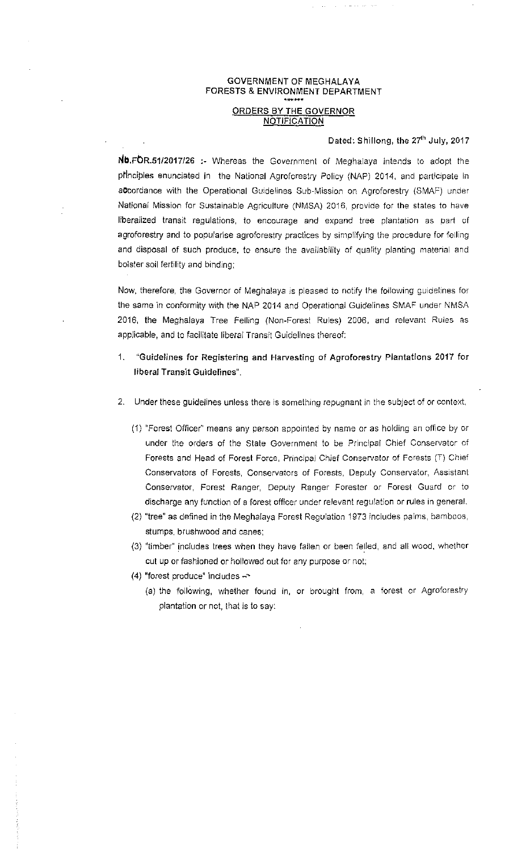#### GOVERNMENT OF MEGHALAYA FORESTS & ENVIRONMENT DEPARTMENT \*\*\*\*\* ORDERS BY THE GOVERNOR NOTIFICATION

## Dated: Shillong, the  $27<sup>th</sup>$  July, 2017

Nb.FbR.5112017/26 :- Whereas the Government of Meghalaya intends to adopt the pfinciples enunciated in the National Agroforestry Policy (NAP) 2014, and participate in accordance with the Operational Guidelines Sub-Mission on Agroforestry (SMAF) under National Mission for Sustainable Agriculture (NMSA) 2016, provide for the states to have liberalized transit regulations, to encourage and expand tree plantation as part of agroforestry and to popularise agroforestry practices by simplifying the procedure for felling and disposal of such produce, to ensure the availability of quality planting material and bolster soil fertility and binding;

Now, therefore, the Governor of Meghalaya is pleased to notify the following guidelines for the same in conformity with the NAP 2014 and Operational Guidelines SMAF under NMSA 2016, the Meghalaya Tree Felling (Non-Forest Rules) 2006, and relevant Rules as applicable, and to facilitate liberal Transit Guidelines thereof:

- 1. "Guidelines for Registering and Harvesting of Agroforestry Plantations 2017 for liberal Transit Guidelines",
- 2. Under these guidelines unless there is something repugnant in the subject of or context,
	- (1) "Forest Officer" means any person appointed by name or as holding an office by or under the orders of the State Government to be Principal Chief Conservator of Forests and Head of Forest Force, Principal Chief Conservator of Forests (T) Chief Conservators of Forests, Conservators of Forests, Deputy Conservator, Assistant Conservator, Forest Ranger, Deputy Ranger Forester or Forest Guard or to discharge any function of a forest officer under relevant regulation or rules in general.
	- (2) "tree" as defined in the Meghalaya Forest Regulation 1973 includes palms, bamboos, stumps, brushwood and canes;
	- (3) "timber" includes trees when they have fallen or been felled, and all wood, whether cut up or fashioned or hollowed out for any purpose or not;
	- (4) "forest produce" indudes  $\rightarrow$ 
		- (a) the following, whether found in, or brought from, a forest or Agroforestry plantation or not, that is to say: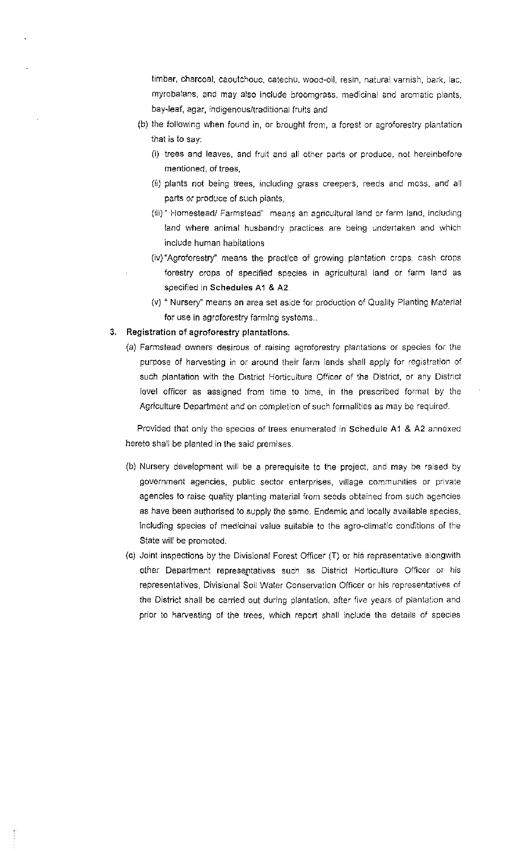timber, charcoal, caoutchouc, catechu, wood-oil, resin, natural varnish, bark. lac, myrobalans, and may also include broomgrass, medicinal and aromatic plants, bay-leaf, agar, indigenous/traditional fruits and

- (b) the following when found in, or brought from, a forest or agroforestry plantation that is to say:
	- (i) trees and leaves, and fruit and all other parts or produce. not hereinbefore mentioned, of trees,
	- (ii) plants not being trees, including grass creepers, reeds and moss, and all parts or produce of such plants,
	- (iii) " Homestead/ Farmstead" means an agricultural land or farm land, including land where animal husbandry practices are being undertaken and which include human habitations
	- (iv) "Agroforestry" means the practice of growing plantation crops, cash crops forestry crops of specified species in agricultural land or farm land as specified in Schedules A1 & A2.
	- (v) " Nursery" means *an* area set aside for production of Quality Planting Material for use in agroforestry farming systems..
- 3, Registration of agroforestry plantations.
	- (a) Farmstead owners desirous of raising agroforestry plantations or species for the purpose of harvesting in or around their farm lands shall apply for registration of such plantation with the District Horticulture Officer of the District, or any District level officer as assigned from time to time, in the prescribed format by the Agriculture Department and on completion of such formalities as may be required.

Provided that only the species of trees enumerated in Schedule A1 & A2 annexed hereto shall be planted in the said premises.

- (b) Nursery development will be a prerequisite to the project, and may be raised by government agencies, public sector enterprises, village communities or private agencies to raise quality planting material from seeds obtained from such agencies as have been authorised to supply the seme. Endemic and locally available species, including species of medicinal value suitable to the agro-climatic conditions of the State will be promoted.
- (c) Joint inspections by the Divisional Forest Officer (T) or his representative alongwith other Department representatives such as District Horticulture Officer or his representatives, Divisional Soil Water Conservation Officer or his representatives of the District shall be carried out during plantation, after five years of plantation and prior to harvesting of the trees, which report shall include the details of species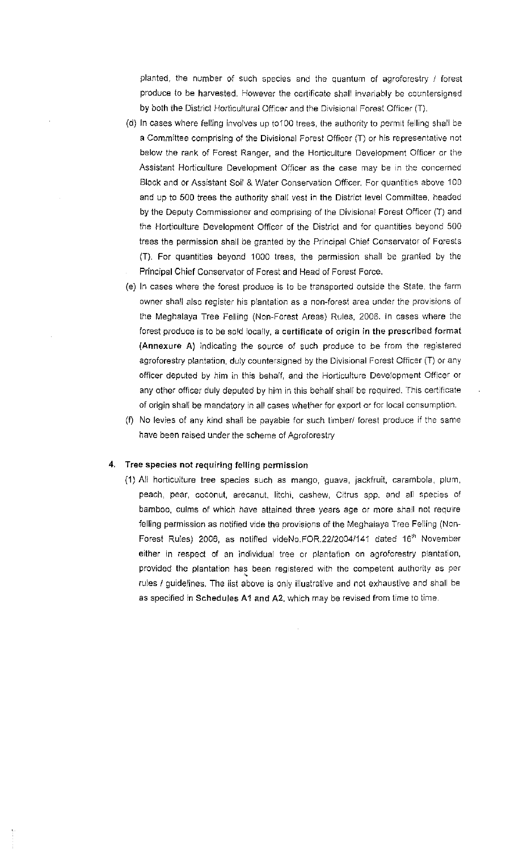planted, the number of such species and the quantum of agroforestry / forest produce to be harvested. However the certificate shalt invariably be countersigned by both the District Horticultural Officer and the Divisional Forest Officer (T).

- (d) In cases where felting involves up to100 trees, the authority to permit felling shall be a Committee comprising of the Divisional Forest Officer (T) or his representative not below the rank of Forest Ranger, and the Horticulture Development Officer or the Assistant Horticulture Development Officer as the case may be in the concerned Block and or Assistant Soil & Water Conservation Officer. For quantities above 100 and up to 500 trees the authority shall vest in the District level Committee, headed by the Deputy Commissioner and comprising of the Divisional Forest Officer (T) and the Horticulture Development Officer of the District and for quantities beyond 500 trees the permission shall be granted by the Principal Chief Conservator of Forests (T). For quantities beyond 1000 trees, the permission shall be granted by the Principal Chief Conservator of Forest and Head of Forest Force.
- (e) In cases where the forest produce is to be transported outside the State, the farm owner shall also register his plantation as a non·forest area under the provisions of the Meghalaya Tree Felling (Non-Forest Areas) Rules, 2006. In cases where the forest produce is to be sold locally, a certificate of origin in the prescribed format (Annexure A) indicating the source of such produce to be from the registered agroforestry plantation, duly countersigned by the Divisional Forest Officer (T) or any officer deputed by him in this behalf, and the Horticulture Development Officer or any other officer duly deputed by him in this behalf shall be required. This certificate of origin shat! be mandatory in all cases whether for export or for local consumption.
- (f) No levies of any kind shall be payable for such timber/ forest produce if the same have been raised under the scheme of Agroforestry

## 4. Tree species not requiring felling permission

(1) All horticulture tree species such as mango, guava, jackfruit, caramboia, plum, peach, pear, coconut, arecanut, litchi, cashew, Citrus spp, and all species of bamboo, culms of which have attained three years age or more shall not require felling permission as notified vide the provisions of the Meghalaya Tree Felling (Non-Forest Rules) 2006, as notified videNo.FOR.22/2004/141 dated 16<sup>th</sup> November either in respect of an individual tree or plantation on agroforestry plantation, provided the plantation has been registered with the competent authority as per<br>rules / guidelines. The list above is only illustrative and not exhaustive and shall be as specified in Schedules A1 and A2, which may be revised from time to time.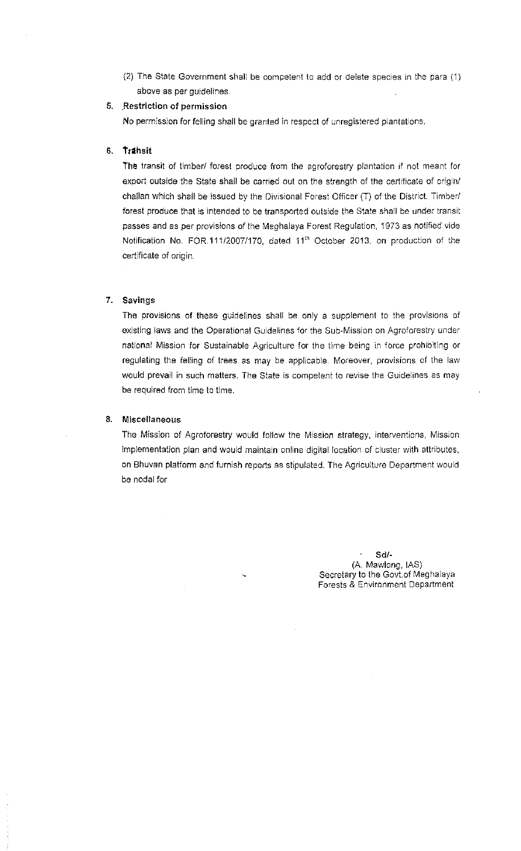(2) The State Government shall be competent to add or delete species in the para (1) above as per guidelines.

## 5. Restriction of permission

No permission for felling shall be granted in respect of unregistered plantations.

## 6. **trdhsit**

the transit of timber/ forest produce from the agroforestry plantation if not meant for export outside the State shall be carried out on the strength of the certificate of origin/ chailan which shall be issued by the Divisional Forest Officer (T) of the District. Timber/ forest produce that is intended to be transported outside the State shall be under transit passes and as per provisions of the Meghalaya Forest Regulation, 1973 as notified vide Notification No. FOR.111/2007/170, dated 11<sup>th</sup> October 2013, on production of the certificate of origin.

## 7. Savings

The provisions of these guidelines shall be only a supplement to the provisions of existing laws and the Operational Guidelines for the Sub-Mission on Agroforestry under national Mission for Sustainable Agriculture for the time being in force prohibiting or regulating the felling of trees as may be applicable. Moreover, provisions of the law would prevail in such matters. The State is competent to revise the Guidelines as may be required from time to time.

## 8. Miscellaneous

The Mission of Agroforestry would follow the Mission strategy, interventions, Mission implementation plan and would maintain online digital location of cluster with attributes, on Bhuvan platform and furnish reports as stipulated. The Agriculture Department would be nodal for

> Sd/- (A. Mawlong, lAS) Secretary to the Govt.of Meghalaya Forests & Environment Department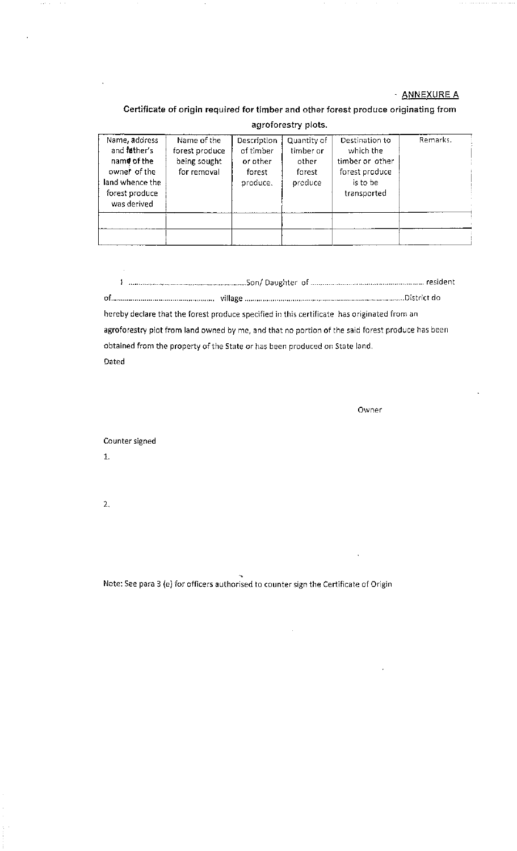## **ANNEXURE A**

# Certificate of origin required for timber and other forest produce originating from agroforestry plots.

| Name, address<br>and father's<br>name of the<br>owner of the<br>land whence the<br>forest produce<br>was derived | Name of the<br>forest produce<br>being sought<br>for removal | Description<br>of timber<br>or other<br>forest<br>produce. | Quantity of<br>timber or<br>other<br>forest<br>produce | Destination to<br>which the<br>timber or other<br>forest produce<br>is to be<br>transported | Remarks. |
|------------------------------------------------------------------------------------------------------------------|--------------------------------------------------------------|------------------------------------------------------------|--------------------------------------------------------|---------------------------------------------------------------------------------------------|----------|
|                                                                                                                  |                                                              |                                                            |                                                        |                                                                                             |          |

) ........................................................... Son/ Daughter of ... resident of.................................................... village ................. , ......... .. .District do hereby declare that the forest produce specified in this certificate has originated from an agroforestry plot from land owned by me, and that no portion of the said forest produce has been obtained from the property of the State or has been produced on State land. Dated

Owner

Counter signed 1.

2.

Note: See para 3 (e) for officers authorised to counter sign the Certificate of Origin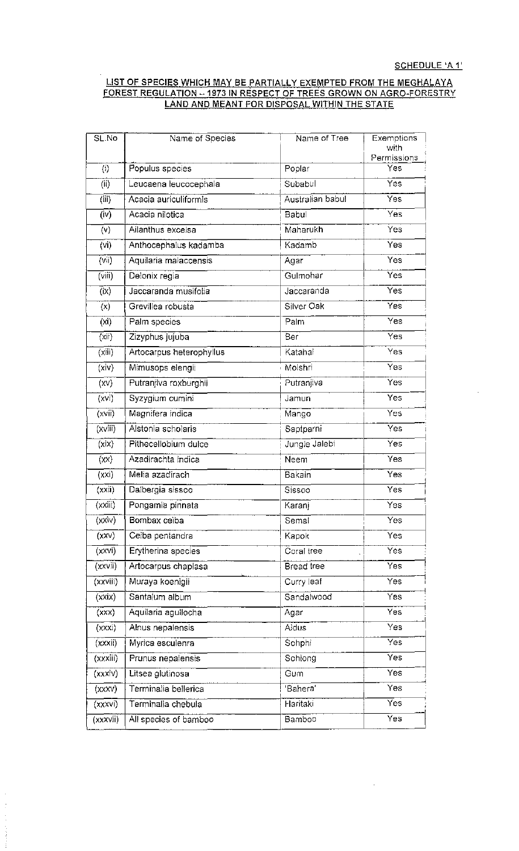## LIST OF SPECIES WHICH MAY BE PARTIALLY EXEMPTED FROM THE MEGHALAYA <u>FOREST REGULATION - 1973 IN RESPECT OF TREES GROWN ON AGRO-FORESTRY</u> LAND AND MEANT FOR DISPOSAL WITHIN THE STATE

| $\overline{SL}$ . No         | Name of Species          | Name of Tree     | Exemptions<br>with<br>Permissions |
|------------------------------|--------------------------|------------------|-----------------------------------|
| (i)                          | Populus species          | Poplar           | Yes                               |
| (ii)                         | Leucaena leucocephala    | Subabul          | Yes                               |
| (iii)                        | Acacia auriculiformis    | Australian babul | Yes                               |
| (iv)                         | Acacia nilotica          | Babul            | Yes                               |
| (v)                          | Ailanthus excelsa        | Maharukh         | Yes                               |
| (v <sub>i</sub> )            | Anthocephalus kadamba    | Kadamb           | Yes                               |
| (vii)                        | Aquilaria malaccensis    | Agar             | Yes                               |
| $\overline{(viii)}$          | Delonix regia            | Gulmohar         | Yes                               |
| (ix)                         | Jaccaranda musifolia     | Jaccaranda       | Yes                               |
| (x)                          | Grevillea robusta        | Silver Oak       | Yes                               |
| (x <sub>i</sub> )            | Palm species             | Palm             | Yes                               |
| (xii)                        | Zizyphus jujuba          | Ber              | <b>Yes</b>                        |
| (xiii)                       | Artocarpus heterophyllus | Katahal          | Yes                               |
| (xiv)                        | Mimusops elengii         | Molshri          | $\overline{Yes}$                  |
| (xv)                         | Putranjiva roxburghii    | Putranjiva       | <b>Yes</b>                        |
| (xvi)                        | Syzygium cumini          | Jamun            | Yes                               |
| $\overline{(\mathsf{xvii})}$ | Magnifera indica         | Mango            | Yes                               |
| (xvii)                       | Alstonia scholaris       | Saptparni        | Yes                               |
| (xix)                        | Pithecellobium dulce     | Jungle Jalebi    | <b>Yes</b>                        |
| (xx)                         | Azadirachta indica       | Neem             | Yes                               |
| (xxi)                        | Melia azadirach          | Bakain           | Yes                               |
| (xxi)                        | Dalbergia sissoo         | Sissoo           | Yes                               |
| (xxiii)                      | Pongamia pinnata         | Karanj           | Yes                               |
| (xxi)                        | Bombax ceiba             | Semal            | Yes                               |
| (xxy)                        | Ceiba pentandra          | Kapok            | Yes                               |
| (xxvi)                       | Erytherina species       | Coral tree       | Yes                               |
| (xxvii)                      | Artocarpus chaplasa      | Bread tree       | Yes                               |
| (xxviii)                     | Muraya koenigii          | Curry leaf       | Yes                               |
| (xxix)                       | Santalum album           | Sandalwood       | Yes                               |
| (xxx)                        | Aquilaria agullocha      | Agar             | Yes                               |
| (xxxi)                       | Alnus nepalensis         | Aldus            | Yes                               |
| (xxxii)                      | Myrica esculenra         | Sohphi           | Yes                               |
| (xxxiii)                     | Prunus nepalensis        | Sohiong          | Yes                               |
| (xxxiv)                      | Litsea glutinosa         | Gum              | Yes                               |
| (xxxv)                       | Terminalia bellerica     | 'Bahera'         | Yes                               |
| (xxxvi)                      | Terminalia chebula       | Haritaki         | $\overline{\mathsf{Yes}}$         |
| (xxxvii)                     | All species of bamboo    | Bamboo           | Yes                               |

 $\frac{1}{2}$ 

 $\sim$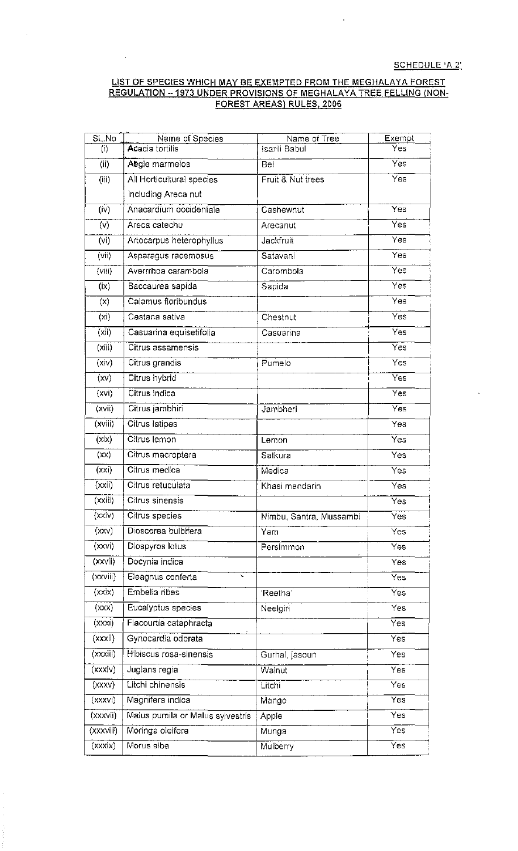$\ddot{\phantom{a}}$ 

## LIST OF SPECIES WHICH MAY BE EXEMPTED FROM THE MEGHALAYA FOREST <u>REGULATION - 1973 UNDER PROVISIONS OF MEGHALAYA TREE FELLING (NON-</u> FOREST AREAS) RULES, 2006

 $\overline{\phantom{a}}$ 

 $\mathcal{A}^{\mathcal{A}}$ 

 $\mathcal{A}$ 

| Yes<br>(ii)<br>Aegle marmelos<br>Bei<br>Yes<br>All Horticultural species<br>Fruit & Nut trees<br>(iii)<br>including Areca nut<br>Anacardium occidentale<br>Yes<br>(iv)<br>Cashewnut<br>Yes<br>Areca catechu<br>(v)<br>Arecanut<br>Yes<br>(vi)<br>Jackfruit<br>Artocarpus heterophyllus<br>$\overline{\text{Yes}}$<br>(vii)<br>Asparagus racemosus<br>Satavani<br>Yes<br>(viii)<br>Averrrhoa carambola<br>Carombola<br>Yes<br>(ix)<br>Sapida<br>Baccaurea sapida<br>Calamus floribundus<br>Yes<br>(x)<br>Yes<br>Castana sativa<br>(xi)<br>Chestnut<br><b>Yes</b><br>Casuarina equisetifolia<br>(xii)<br>Casuarina<br>(xiii)<br>Citrus assamensis<br>$\overline{\text{Yes}}$<br>Yes<br>(x v)<br>Citrus grandis<br>Pumelo<br>Citrus hybrid<br>$\overline{\text{Yes}}$<br>(xv)<br>Citrus indica<br>(xvi)<br>Yes<br>(xvii)<br>Citrus jambhiri<br>Jambheri<br>Yes<br>Citrus latipes<br>(xviii)<br>Yes<br>Citrus lemon<br>(xix)<br>Yes <sup>®</sup><br>Lemon<br>Citrus macroptera<br>Yes<br>(xx)<br>Satkura<br>Citrus medica<br>(xxi)<br>Medica<br>Yes<br>(xxi)<br>Citrus retuculata<br>Khasi mandarin<br>Yes<br>(xxiii)<br>Citrus sinensis<br>$\overline{Yes}$<br>(xxiv)<br>Citrus species<br>Nimbu, Santra, Mussambi<br>Yes<br>Dioscorea bulbifera<br>(xxV)<br>Yes<br>Yam<br>(xxvi)<br>Diospyros lotus<br>Yes<br>Persimmon<br>(xxvii)<br>Docynia indica<br>Yes<br>(xxviii)<br>Eleagnus conferta<br>V<br>Yes<br>Embelia ribes<br>(xxix)<br>Yes<br>'Reetha'<br>(xxx)<br>Yes<br>Eucalyptus species<br>Neelgiri<br>(xxxi)<br>Flacourtia cataphracta<br>Yes | SL.No   | Name of Species        | Name of Tree  | Exempt |
|---------------------------------------------------------------------------------------------------------------------------------------------------------------------------------------------------------------------------------------------------------------------------------------------------------------------------------------------------------------------------------------------------------------------------------------------------------------------------------------------------------------------------------------------------------------------------------------------------------------------------------------------------------------------------------------------------------------------------------------------------------------------------------------------------------------------------------------------------------------------------------------------------------------------------------------------------------------------------------------------------------------------------------------------------------------------------------------------------------------------------------------------------------------------------------------------------------------------------------------------------------------------------------------------------------------------------------------------------------------------------------------------------------------------------------------------------------------------------------------------------------------------------------------------------|---------|------------------------|---------------|--------|
|                                                                                                                                                                                                                                                                                                                                                                                                                                                                                                                                                                                                                                                                                                                                                                                                                                                                                                                                                                                                                                                                                                                                                                                                                                                                                                                                                                                                                                                                                                                                                   | (i)     | <b>Acacia</b> tortilis | Isarili Babul | Yes    |
|                                                                                                                                                                                                                                                                                                                                                                                                                                                                                                                                                                                                                                                                                                                                                                                                                                                                                                                                                                                                                                                                                                                                                                                                                                                                                                                                                                                                                                                                                                                                                   |         |                        |               |        |
|                                                                                                                                                                                                                                                                                                                                                                                                                                                                                                                                                                                                                                                                                                                                                                                                                                                                                                                                                                                                                                                                                                                                                                                                                                                                                                                                                                                                                                                                                                                                                   |         |                        |               |        |
|                                                                                                                                                                                                                                                                                                                                                                                                                                                                                                                                                                                                                                                                                                                                                                                                                                                                                                                                                                                                                                                                                                                                                                                                                                                                                                                                                                                                                                                                                                                                                   |         |                        |               |        |
|                                                                                                                                                                                                                                                                                                                                                                                                                                                                                                                                                                                                                                                                                                                                                                                                                                                                                                                                                                                                                                                                                                                                                                                                                                                                                                                                                                                                                                                                                                                                                   |         |                        |               |        |
|                                                                                                                                                                                                                                                                                                                                                                                                                                                                                                                                                                                                                                                                                                                                                                                                                                                                                                                                                                                                                                                                                                                                                                                                                                                                                                                                                                                                                                                                                                                                                   |         |                        |               |        |
|                                                                                                                                                                                                                                                                                                                                                                                                                                                                                                                                                                                                                                                                                                                                                                                                                                                                                                                                                                                                                                                                                                                                                                                                                                                                                                                                                                                                                                                                                                                                                   |         |                        |               |        |
|                                                                                                                                                                                                                                                                                                                                                                                                                                                                                                                                                                                                                                                                                                                                                                                                                                                                                                                                                                                                                                                                                                                                                                                                                                                                                                                                                                                                                                                                                                                                                   |         |                        |               |        |
|                                                                                                                                                                                                                                                                                                                                                                                                                                                                                                                                                                                                                                                                                                                                                                                                                                                                                                                                                                                                                                                                                                                                                                                                                                                                                                                                                                                                                                                                                                                                                   |         |                        |               |        |
|                                                                                                                                                                                                                                                                                                                                                                                                                                                                                                                                                                                                                                                                                                                                                                                                                                                                                                                                                                                                                                                                                                                                                                                                                                                                                                                                                                                                                                                                                                                                                   |         |                        |               |        |
|                                                                                                                                                                                                                                                                                                                                                                                                                                                                                                                                                                                                                                                                                                                                                                                                                                                                                                                                                                                                                                                                                                                                                                                                                                                                                                                                                                                                                                                                                                                                                   |         |                        |               |        |
|                                                                                                                                                                                                                                                                                                                                                                                                                                                                                                                                                                                                                                                                                                                                                                                                                                                                                                                                                                                                                                                                                                                                                                                                                                                                                                                                                                                                                                                                                                                                                   |         |                        |               |        |
|                                                                                                                                                                                                                                                                                                                                                                                                                                                                                                                                                                                                                                                                                                                                                                                                                                                                                                                                                                                                                                                                                                                                                                                                                                                                                                                                                                                                                                                                                                                                                   |         |                        |               |        |
|                                                                                                                                                                                                                                                                                                                                                                                                                                                                                                                                                                                                                                                                                                                                                                                                                                                                                                                                                                                                                                                                                                                                                                                                                                                                                                                                                                                                                                                                                                                                                   |         |                        |               |        |
|                                                                                                                                                                                                                                                                                                                                                                                                                                                                                                                                                                                                                                                                                                                                                                                                                                                                                                                                                                                                                                                                                                                                                                                                                                                                                                                                                                                                                                                                                                                                                   |         |                        |               |        |
|                                                                                                                                                                                                                                                                                                                                                                                                                                                                                                                                                                                                                                                                                                                                                                                                                                                                                                                                                                                                                                                                                                                                                                                                                                                                                                                                                                                                                                                                                                                                                   |         |                        |               |        |
|                                                                                                                                                                                                                                                                                                                                                                                                                                                                                                                                                                                                                                                                                                                                                                                                                                                                                                                                                                                                                                                                                                                                                                                                                                                                                                                                                                                                                                                                                                                                                   |         |                        |               |        |
|                                                                                                                                                                                                                                                                                                                                                                                                                                                                                                                                                                                                                                                                                                                                                                                                                                                                                                                                                                                                                                                                                                                                                                                                                                                                                                                                                                                                                                                                                                                                                   |         |                        |               |        |
|                                                                                                                                                                                                                                                                                                                                                                                                                                                                                                                                                                                                                                                                                                                                                                                                                                                                                                                                                                                                                                                                                                                                                                                                                                                                                                                                                                                                                                                                                                                                                   |         |                        |               |        |
|                                                                                                                                                                                                                                                                                                                                                                                                                                                                                                                                                                                                                                                                                                                                                                                                                                                                                                                                                                                                                                                                                                                                                                                                                                                                                                                                                                                                                                                                                                                                                   |         |                        |               |        |
|                                                                                                                                                                                                                                                                                                                                                                                                                                                                                                                                                                                                                                                                                                                                                                                                                                                                                                                                                                                                                                                                                                                                                                                                                                                                                                                                                                                                                                                                                                                                                   |         |                        |               |        |
|                                                                                                                                                                                                                                                                                                                                                                                                                                                                                                                                                                                                                                                                                                                                                                                                                                                                                                                                                                                                                                                                                                                                                                                                                                                                                                                                                                                                                                                                                                                                                   |         |                        |               |        |
|                                                                                                                                                                                                                                                                                                                                                                                                                                                                                                                                                                                                                                                                                                                                                                                                                                                                                                                                                                                                                                                                                                                                                                                                                                                                                                                                                                                                                                                                                                                                                   |         |                        |               |        |
|                                                                                                                                                                                                                                                                                                                                                                                                                                                                                                                                                                                                                                                                                                                                                                                                                                                                                                                                                                                                                                                                                                                                                                                                                                                                                                                                                                                                                                                                                                                                                   |         |                        |               |        |
|                                                                                                                                                                                                                                                                                                                                                                                                                                                                                                                                                                                                                                                                                                                                                                                                                                                                                                                                                                                                                                                                                                                                                                                                                                                                                                                                                                                                                                                                                                                                                   |         |                        |               |        |
|                                                                                                                                                                                                                                                                                                                                                                                                                                                                                                                                                                                                                                                                                                                                                                                                                                                                                                                                                                                                                                                                                                                                                                                                                                                                                                                                                                                                                                                                                                                                                   |         |                        |               |        |
|                                                                                                                                                                                                                                                                                                                                                                                                                                                                                                                                                                                                                                                                                                                                                                                                                                                                                                                                                                                                                                                                                                                                                                                                                                                                                                                                                                                                                                                                                                                                                   |         |                        |               |        |
|                                                                                                                                                                                                                                                                                                                                                                                                                                                                                                                                                                                                                                                                                                                                                                                                                                                                                                                                                                                                                                                                                                                                                                                                                                                                                                                                                                                                                                                                                                                                                   |         |                        |               |        |
|                                                                                                                                                                                                                                                                                                                                                                                                                                                                                                                                                                                                                                                                                                                                                                                                                                                                                                                                                                                                                                                                                                                                                                                                                                                                                                                                                                                                                                                                                                                                                   |         |                        |               |        |
|                                                                                                                                                                                                                                                                                                                                                                                                                                                                                                                                                                                                                                                                                                                                                                                                                                                                                                                                                                                                                                                                                                                                                                                                                                                                                                                                                                                                                                                                                                                                                   |         |                        |               |        |
|                                                                                                                                                                                                                                                                                                                                                                                                                                                                                                                                                                                                                                                                                                                                                                                                                                                                                                                                                                                                                                                                                                                                                                                                                                                                                                                                                                                                                                                                                                                                                   |         |                        |               |        |
|                                                                                                                                                                                                                                                                                                                                                                                                                                                                                                                                                                                                                                                                                                                                                                                                                                                                                                                                                                                                                                                                                                                                                                                                                                                                                                                                                                                                                                                                                                                                                   |         |                        |               |        |
|                                                                                                                                                                                                                                                                                                                                                                                                                                                                                                                                                                                                                                                                                                                                                                                                                                                                                                                                                                                                                                                                                                                                                                                                                                                                                                                                                                                                                                                                                                                                                   | (xxxii) | Gynocardia odorata     |               | Yes    |
| (xxxiii)<br>Hibiscus rosa-sinensis<br>Yes<br>Gurhal, jasoun                                                                                                                                                                                                                                                                                                                                                                                                                                                                                                                                                                                                                                                                                                                                                                                                                                                                                                                                                                                                                                                                                                                                                                                                                                                                                                                                                                                                                                                                                       |         |                        |               |        |
| (xxxiv)<br>Juglans regia<br>Walnut<br>Yes                                                                                                                                                                                                                                                                                                                                                                                                                                                                                                                                                                                                                                                                                                                                                                                                                                                                                                                                                                                                                                                                                                                                                                                                                                                                                                                                                                                                                                                                                                         |         |                        |               |        |
| Litchi chinensis<br>(xxxv)<br>Yes<br>Litchi                                                                                                                                                                                                                                                                                                                                                                                                                                                                                                                                                                                                                                                                                                                                                                                                                                                                                                                                                                                                                                                                                                                                                                                                                                                                                                                                                                                                                                                                                                       |         |                        |               |        |
| Magnifera indica<br>(xxxvi)<br>Yes<br>Mango                                                                                                                                                                                                                                                                                                                                                                                                                                                                                                                                                                                                                                                                                                                                                                                                                                                                                                                                                                                                                                                                                                                                                                                                                                                                                                                                                                                                                                                                                                       |         |                        |               |        |
| Malus pumila or Malus sylvestris<br>(xxxvii)<br>Yes<br>Apple                                                                                                                                                                                                                                                                                                                                                                                                                                                                                                                                                                                                                                                                                                                                                                                                                                                                                                                                                                                                                                                                                                                                                                                                                                                                                                                                                                                                                                                                                      |         |                        |               |        |
| (xxxviii)<br>Moringa oleifera<br>Yes<br>Munga                                                                                                                                                                                                                                                                                                                                                                                                                                                                                                                                                                                                                                                                                                                                                                                                                                                                                                                                                                                                                                                                                                                                                                                                                                                                                                                                                                                                                                                                                                     |         |                        |               |        |
| (xxxix)<br>Morus alba<br>Yes<br><b>Mulberry</b>                                                                                                                                                                                                                                                                                                                                                                                                                                                                                                                                                                                                                                                                                                                                                                                                                                                                                                                                                                                                                                                                                                                                                                                                                                                                                                                                                                                                                                                                                                   |         |                        |               |        |